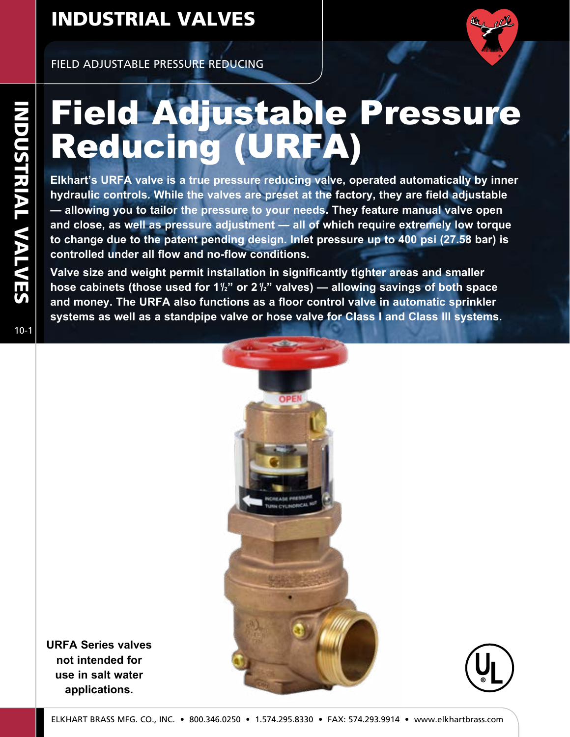

FIELD ADJUSTABLE PRESSURE REDUCING

# Field Adjustable Pressure Reducing (URFA)

**Elkhart's URFA valve is a true pressure reducing valve, operated automatically by inner hydraulic controls. While the valves are preset at the factory, they are field adjustable — allowing you to tailor the pressure to your needs. They feature manual valve open and close, as well as pressure adjustment — all of which require extremely low torque to change due to the patent pending design. Inlet pressure up to 400 psi (27.58 bar) is controlled under all flow and no-flow conditions.**

**Valve size and weight permit installation in significantly tighter areas and smaller**  hose cabinets (those used for 1½" or 2½" valves) — allowing savings of both space **and money. The URFA also functions as a floor control valve in automatic sprinkler systems as well as a standpipe valve or hose valve for Class I and Class III systems.**

OPE

10-1 INDUSTRIAL VALVES  $10-1$ 

**NDUSTRIAL VALVES** 



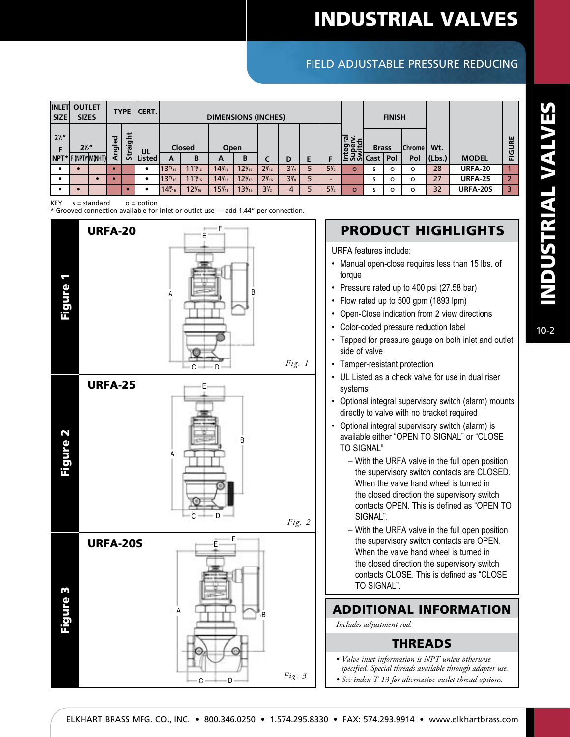### FIELD ADJUSTABLE PRESSURE REDUCING

| <b>INLETI</b><br><b>SIZE</b>          | <b>OUTLET</b><br><b>SIZES</b> |            |              | TYPE I CERT. |                         |                      | <b>DIMENSIONS (INCHES)</b> |                  |                 |                |   |                |                                     | <b>FINISH</b> |          |                |                   |                |                       |
|---------------------------------------|-------------------------------|------------|--------------|--------------|-------------------------|----------------------|----------------------------|------------------|-----------------|----------------|---|----------------|-------------------------------------|---------------|----------|----------------|-------------------|----------------|-----------------------|
| $2\frac{1}{2}$<br>NPT* F (NPT)*M(NHT) | $2\frac{1}{2}$                | haled<br>ই | taight<br>ಀಁ | UL<br>Listed | <b>Closed</b><br>в<br>А |                      | Open<br>A                  | B                | L               |                | Ε | F              | egral<br>per:<br>/<br>_ ပွယ္ပု Cast | <b>Brass</b>  | : I Pol  | Chrome <br>Pol | Wt.<br>$ $ (Lbs.) | <b>MODEL</b>   | ш<br>$\sim$<br>U<br>ய |
|                                       |                               |            |              |              | $13\%$ <sub>16</sub>    | $11\frac{11}{16}$    | $14\frac{5}{16}$           | $12\frac{5}{16}$ | $2\frac{9}{16}$ | $3\frac{1}{4}$ |   | $5\frac{1}{2}$ | $\Omega$                            |               | $\Omega$ | O              | 28                | <b>URFA-20</b> |                       |
|                                       |                               |            |              |              | $13\%$ <sub>16</sub>    | $11\frac{1}{16}$     | $14\frac{9}{16}$           | $12\frac{9}{16}$ | $29_{16}$       | $3\frac{9}{8}$ | 5 | -              |                                     |               | $\Omega$ | O              | 27                | <b>URFA-25</b> |                       |
|                                       |                               |            |              |              | $14\frac{9}{16}$        | $12\%$ <sub>16</sub> | $15\frac{3}{16}$           | $13\frac{3}{16}$ | $3\frac{1}{2}$  | 4              |   | $5\frac{1}{2}$ | $\Omega$                            |               | $\Omega$ | O              | 32                | URFA-20S       | ₹                     |

 $KEY$   $s = standard$   $o = option$ 

\* Grooved connection available for inlet or outlet use — add 1.44" per connection.



### PRODUCT HIGHLIGHTS

URFA features include:

- Manual open-close requires less than 15 lbs. of torque
- Pressure rated up to 400 psi (27.58 bar)
- Flow rated up to 500 gpm (1893 lpm)
- Open-Close indication from 2 view directions
- Color-coded pressure reduction label
- Tapped for pressure gauge on both inlet and outlet side of valve
- Tamper-resistant protection
- UL Listed as a check valve for use in dual riser systems
- Optional integral supervisory switch (alarm) mounts directly to valve with no bracket required
- Optional integral supervisory switch (alarm) is available either "OPEN TO SIGNAL" or "CLOSE TO SIGNAL"
	- With the URFA valve in the full open position the supervisory switch contacts are CLOSED. When the valve hand wheel is turned in the closed direction the supervisory switch contacts OPEN. This is defined as "OPEN TO SIGNAL".
	- With the URFA valve in the full open position the supervisory switch contacts are OPEN. When the valve hand wheel is turned in the closed direction the supervisory switch contacts CLOSE. This is defined as "CLOSE TO SIGNAL".

#### ADDITIONAL INFORMATION

*Includes adjustment rod.*

#### THREADS

*• Valve inlet information is NPT unless otherwise specified. Special threads available through adapter use. • See index T-13 for alternative outlet thread options.*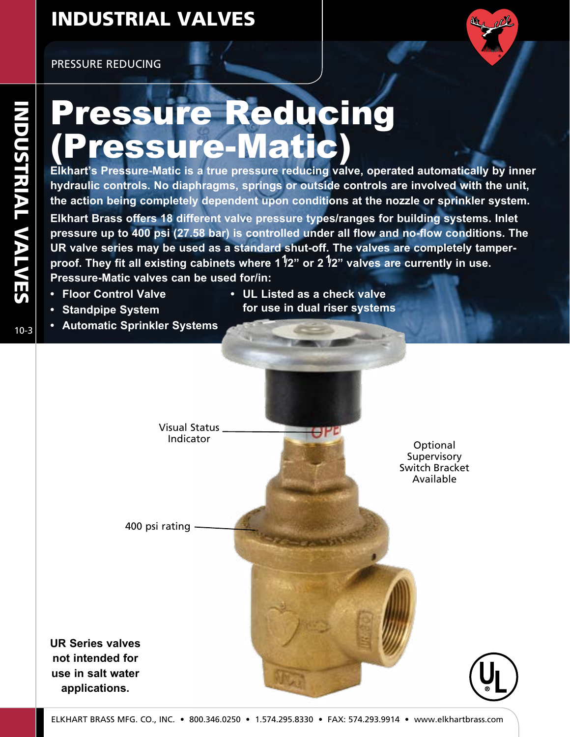PRESSURE REDUCING



# Pressure Reducing Pressure-Matic

**Elkhart's Pressure-Matic is a true pressure reducing valve, operated automatically by inner hydraulic controls. No diaphragms, springs or outside controls are involved with the unit, the action being completely dependent upon conditions at the nozzle or sprinkler system. Elkhart Brass offers 18 different valve pressure types/ranges for building systems. Inlet pressure up to 400 psi (27.58 bar) is controlled under all flow and no-flow conditions. The UR valve series may be used as a standard shut-off. The valves are completely tamperproof. They fit all existing cabinets where 11/2" or 2 1/2" valves are currently in use. Pressure-Matic valves can be used for/in:**

- **• Floor Control Valve**
- **• Standpipe System**
- **• UL Listed as a check valve for use in dual riser systems**
- **• Automatic Sprinkler Systems**

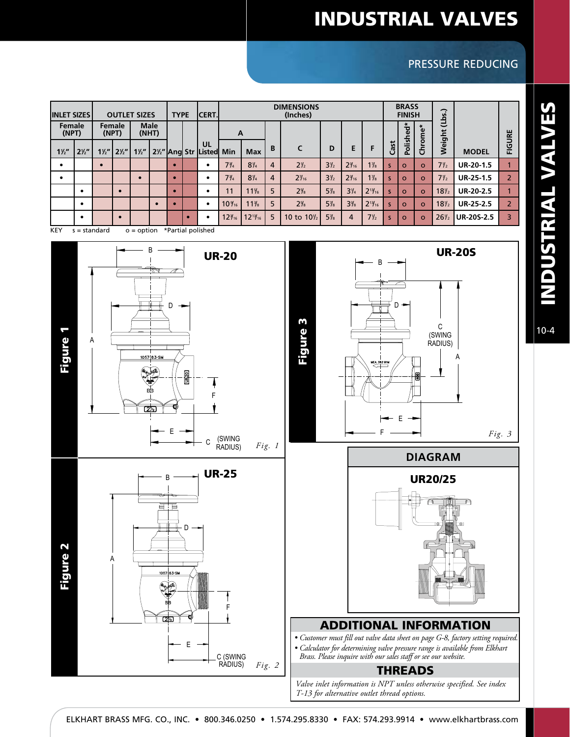### PRESSURE REDUCING

| <b>INLET SIZES</b> |                | <b>OUTLET SIZES</b> |                |                |                      |           | <b>TYPE</b> | <b>ICERT.I</b>                                         | <b>DIMENSIONS</b><br>(Inches) |                 |                |                       |                |                 |                |      | <b>BRASS</b><br><b>FINISH</b> |          | (Lbs.)          |                   |                |
|--------------------|----------------|---------------------|----------------|----------------|----------------------|-----------|-------------|--------------------------------------------------------|-------------------------------|-----------------|----------------|-----------------------|----------------|-----------------|----------------|------|-------------------------------|----------|-----------------|-------------------|----------------|
| Female<br>(NPT)    |                | Female<br>(NPT)     |                |                | <b>Male</b><br>(MHT) |           |             |                                                        | A                             |                 |                |                       |                |                 |                |      | Polished*                     | rome*    |                 |                   |                |
| $1\frac{1}{2}$     | $2\frac{1}{2}$ | $1\frac{1}{2}$      | $2\frac{1}{2}$ | $1\frac{1}{2}$ |                      |           |             | UL<br>2 <sup>1</sup> / <sub>2</sub> Ang Str Listed Min |                               | <b>Max</b>      | B              | C                     | D              | E               | F              | Cast |                               | 훕        | Weight          | <b>MODEL</b>      | FIGURE         |
| $\bullet$          |                |                     |                |                |                      |           |             |                                                        | $7\frac{3}{4}$                | $8\frac{1}{4}$  | $\overline{4}$ | $2\frac{1}{2}$        | $3\frac{1}{2}$ | $2\frac{3}{16}$ | $1\frac{7}{8}$ | s    | $\circ$                       | $\Omega$ | $7\frac{y}{2}$  | <b>UR-20-1.5</b>  |                |
| $\bullet$          |                |                     |                |                |                      | $\bullet$ |             |                                                        | $7\frac{3}{4}$                | $8\frac{1}{4}$  | 4              | $2\frac{7}{16}$       | $3\frac{1}{2}$ | $2\frac{3}{16}$ | $1\frac{7}{8}$ | s    | $\Omega$                      | $\Omega$ | $7\frac{y}{2}$  | <b>UR-25-1.5</b>  | $\overline{2}$ |
|                    |                |                     |                |                |                      |           |             |                                                        | 11                            | $11\frac{1}{8}$ | 5              | $2\frac{5}{8}$        | $5\frac{7}{8}$ | $3\frac{1}{4}$  | $2^{13}/_{16}$ | s    | $\Omega$                      | $\Omega$ | $18\frac{y}{2}$ | <b>UR-20-2.5</b>  |                |
|                    |                |                     |                |                | $\bullet$            | c         |             |                                                        | $10\%$                        | $11\frac{3}{8}$ | 5              | $2\frac{5}{8}$        | $5\frac{7}{8}$ | $3\frac{3}{8}$  | $2^{13}/_{16}$ | s    | $\circ$                       | $\Omega$ | $18\frac{1}{2}$ | <b>UR-25-2.5</b>  | $\overline{2}$ |
|                    |                |                     | $\bullet$      |                |                      |           |             |                                                        | $12\frac{3}{16}$              | $12^{13}/_{16}$ | 5              | 10 to $10\frac{1}{2}$ | $5\frac{7}{8}$ | $\overline{4}$  | $7\frac{1}{2}$ | s    | $\Omega$                      | $\Omega$ | $26\frac{1}{2}$ | <b>UR-20S-2.5</b> | 3              |

KEY  $s =$  standard  $o =$  option \*Partial polished



INDUSTRIAL VALVES INDUSTRIAL VALVES

10-4

*Fig. 3*

 $U$ 

A

UR-20S

C (SWING RADIUS)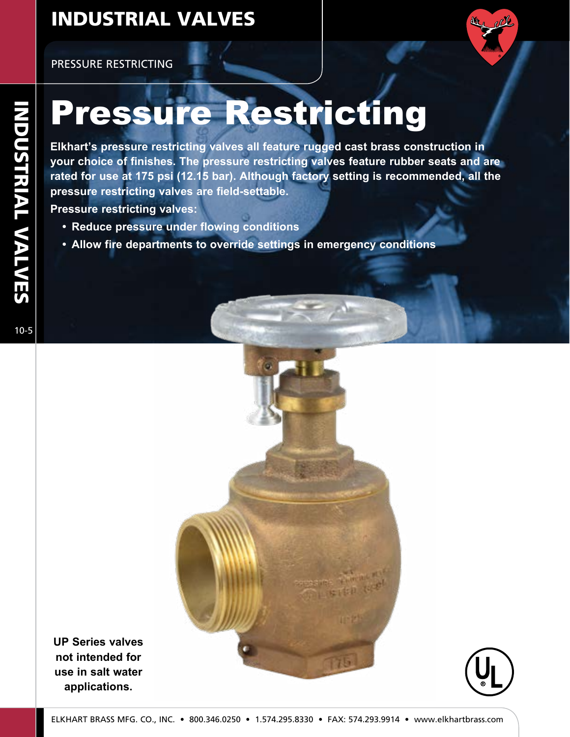PRESSURE RESTRICTING



# Pressure Restricting

**Elkhart's pressure restricting valves all feature rugged cast brass construction in your choice of finishes. The pressure restricting valves feature rubber seats and are rated for use at 175 psi (12.15 bar). Although factory setting is recommended, all the pressure restricting valves are field-settable.**

**Pressure restricting valves:**

- **• Reduce pressure under flowing conditions**
- **• Allow fire departments to override settings in emergency conditions**

**INDUSTRIAL VALVES** 





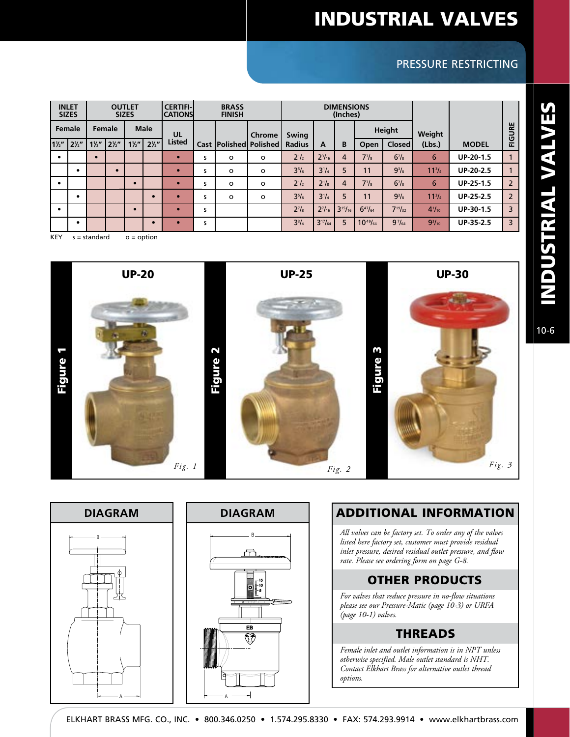### PRESSURE RESTRICTING

|                | <b>INLET</b><br><b>SIZES</b> | <b>OUTLET</b><br><b>SIZES</b> |                |                |                | <b>CERTIFI-</b><br><b>CATIONS</b> |      | <b>BRASS</b><br><b>FINISH</b> |                         |               | <b>DIMENSIONS</b><br>(Inches) |                |                   |                 |               |                  |                |
|----------------|------------------------------|-------------------------------|----------------|----------------|----------------|-----------------------------------|------|-------------------------------|-------------------------|---------------|-------------------------------|----------------|-------------------|-----------------|---------------|------------------|----------------|
|                | <b>Female</b>                | Female                        |                |                | <b>Male</b>    | UL                                |      |                               | <b>Chrome</b>           | Swing         |                               |                |                   | Height          | Weight        |                  | FIGURE         |
| $1\frac{1}{2}$ | $2\frac{1}{2}$               | $1\frac{1}{2}$                | $2\frac{y}{2}$ | $1\frac{1}{2}$ | $2\frac{1}{2}$ | <b>Listed</b>                     | Cast |                               | l Polished l Polished l | <b>Radius</b> | A                             | B              | Open              | <b>Closed</b>   | (Lbs.)        | <b>MODEL</b>     |                |
| $\bullet$      |                              | $\bullet$                     |                |                |                | $\bullet$                         | s    | $\circ$                       | $\circ$                 | $2^{1/2}$     | $2^{3}/_{16}$                 | $\overline{4}$ | $7^7/s$           | $6^{7}/s$       | 6             | $UP-20-1.5$      |                |
|                | $\bullet$                    |                               | $\bullet$      |                |                | $\bullet$                         | s    | $\circ$                       | $\circ$                 | $3^{5}/8$     | $3^{1}/4$                     | 5              | 11                | $9^{3}/_{8}$    | $11^{3}/4$    | $UP-20-2.5$      |                |
|                |                              |                               |                |                |                |                                   | s    | $\circ$                       | $\circ$                 | $2^{1/2}$     | $2^{1}/s$                     | $\overline{4}$ | 7 <sup>7</sup> /s | $6^{7}/s$       | 6             | <b>UP-25-1.5</b> | $\overline{2}$ |
|                | ٠                            |                               |                |                | $\bullet$      | $\bullet$                         | s    | $\circ$                       | $\circ$                 | $3^{5}/8$     | $3^{1}/4$                     | 5              | 11                | $9^{3}/_{8}$    | $11^{3}/4$    | <b>UP-25-2.5</b> | $\overline{2}$ |
| $\bullet$      |                              |                               |                |                |                | c                                 | s    |                               |                         | $2^7/s$       | $2^{7}/_{16}$                 | $3^{15}/_{16}$ | $6^{47}/_{64}$    | $7^{19}/_{32}$  | $4^{1}/_{10}$ | UP-30-1.5        | 3              |
|                | $\bullet$                    |                               |                |                | $\bullet$      |                                   | S    |                               |                         | $3^{3}/_{4}$  | $3^{17}/_{64}$                | 5              | $10^{49}/_{64}$   | $9\frac{7}{64}$ | $9^{3}/_{10}$ | UP-35-2.5        | 3              |
| <b>KEY</b>     |                              | $s = standard$                |                | $o = option$   |                |                                   |      |                               |                         |               |                               |                |                   |                 |               |                  |                |

Figure 1 Figure 2 Figure 3 *Fig. 3* UP-20 UP-25 UP-30 *Fig. 2 Fig. 1*





### ADDITIONAL INFORMATION

*All valves can be factory set. To order any of the valves listed here factory set, customer must provide residual inlet pressure, desired residual outlet pressure, and flow rate. Please see ordering form on page G-8.*

#### OTHER PRODUCTS

*For valves that reduce pressure in no-flow situations please see our Pressure-Matic (page 10-3) or URFA (page 10-1) valves.*

#### THREADS

*Female inlet and outlet information is in NPT unless otherwise specified. Male outlet standard is NHT. Contact Elkhart Brass for alternative outlet thread options.*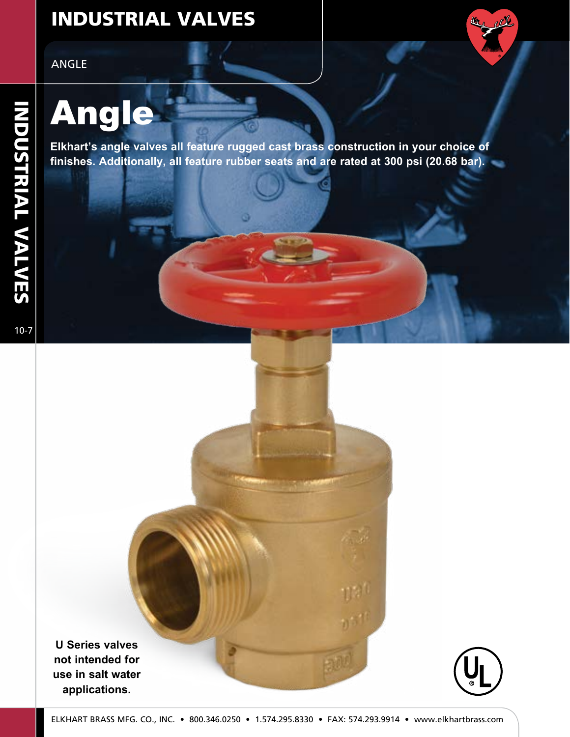ANGLE

# Angle

**Elkhart's angle valves all feature rugged cast brass construction in your choice of finishes. Additionally, all feature rubber seats and are rated at 300 psi (20.68 bar).**

**SET 21** 

INDUSTRIAL VALVES

**U Series valves not intended for use in salt water applications.**

the other